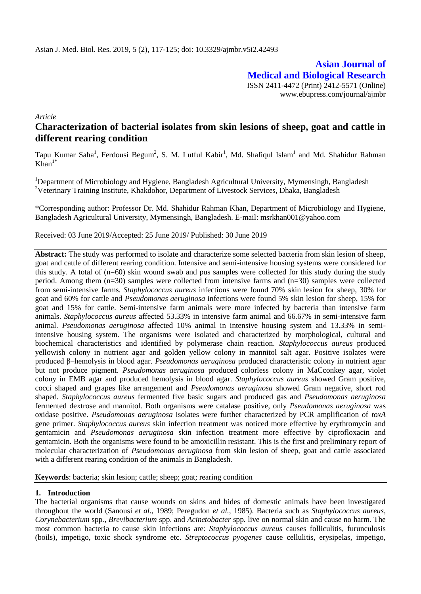**Asian Journal of Medical and Biological Research** ISSN 2411-4472 (Print) 2412-5571 (Online) www.ebupress.com/journal/ajmbr

*Article*

# **Characterization of bacterial isolates from skin lesions of sheep, goat and cattle in different rearing condition**

Tapu Kumar Saha<sup>1</sup>, Ferdousi Begum<sup>2</sup>, S. M. Lutful Kabir<sup>1</sup>, Md. Shafiqul Islam<sup>1</sup> and Md. Shahidur Rahman  $\widehat{Khan}^{1*}$ 

<sup>1</sup>Department of Microbiology and Hygiene, Bangladesh Agricultural University, Mymensingh, Bangladesh <sup>2</sup>Veterinary Training Institute, Khakdohor, Department of Livestock Services, Dhaka, Bangladesh

\*Corresponding author: Professor Dr. Md. Shahidur Rahman Khan, Department of Microbiology and Hygiene, Bangladesh Agricultural University, Mymensingh, Bangladesh. E-mail: msrkhan001@yahoo.com

Received: 03 June 2019/Accepted: 25 June 2019/ Published: 30 June 2019

**Abstract:** The study was performed to isolate and characterize some selected bacteria from skin lesion of sheep, goat and cattle of different rearing condition. Intensive and semi-intensive housing systems were considered for this study. A total of (n=60) skin wound swab and pus samples were collected for this study during the study period. Among them  $(n=30)$  samples were collected from intensive farms and  $(n=30)$  samples were collected from semi-intensive farms. *Staphylococcus aureus* infections were found 70% skin lesion for sheep, 30% for goat and 60% for cattle and *Pseudomonas aeruginosa* infections were found 5% skin lesion for sheep, 15% for goat and 15% for cattle. Semi-intensive farm animals were more infected by bacteria than intensive farm animals. *Staphylococcus aureus* affected 53.33% in intensive farm animal and 66.67% in semi-intensive farm animal. *Pseudomonas aeruginosa* affected 10% animal in intensive housing system and 13.33% in semiintensive housing system. The organisms were isolated and characterized by morphological, cultural and biochemical characteristics and identified by polymerase chain reaction*. Staphylococcus aureus* produced yellowish colony in nutrient agar and golden yellow colony in mannitol salt agar. Positive isolates were produced β–hemolysis in blood agar. *Pseudomonas aeruginosa* produced characteristic colony in nutrient agar but not produce pigment. *Pseudomonas aeruginosa* produced colorless colony in MaCconkey agar, violet colony in EMB agar and produced hemolysis in blood agar. *Staphylococcus aureus* showed Gram positive, cocci shaped and grapes like arrangement and *Pseudomonas aeruginosa* showed Gram negative, short rod shaped. *Staphylococcus aureus* fermented five basic sugars and produced gas and *Pseudomonas aeruginosa*  fermented dextrose and mannitol*.* Both organisms were catalase positive, only *Pseudomonas aeruginosa* was oxidase positive. *Pseudomonas aeruginosa* isolates were further characterized by PCR amplification of *toxA*  gene primer. *Staphylococcus aureus* skin infection treatment was noticed more effective by erythromycin and gentamicin and *Pseudomonas aeruginosa* skin infection treatment more effective by ciprofloxacin and gentamicin. Both the organisms were found to be amoxicillin resistant. This is the first and preliminary report of molecular characterization of *Pseudomonas aeruginosa* from skin lesion of sheep, goat and cattle associated with a different rearing condition of the animals in Bangladesh.

**Keywords**: bacteria; skin lesion; cattle; sheep; goat; rearing condition

## **1. Introduction**

The bacterial organisms that cause wounds on skins and hides of domestic animals have been investigated throughout the world (Sanousi *et al.*, 1989; Peregudon *et al.,* 1985). Bacteria such as *Staphylococcus aureus*, *Corynebacterium* spp*., Brevibacterium* spp. and *Acinetobacter* spp*.* live on normal skin and cause no harm. The most common bacteria to cause skin infections are: *Staphylococcus aureus* causes folliculitis, furunculosis (boils), impetigo, toxic shock syndrome etc. *Streptococcus pyogenes* cause cellulitis, erysipelas, impetigo,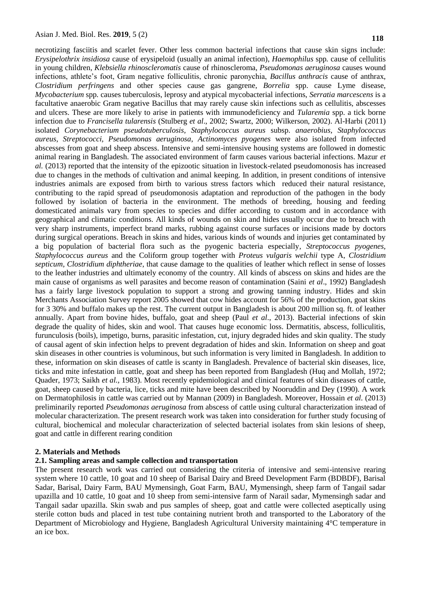necrotizing fasciitis and scarlet fever. Other less common bacterial infections that cause skin signs include: *Erysipelothrix insidiosa* cause of erysipeloid (usually an animal infection), *Haemophilus* spp*.* cause of cellulitis in young children*, Klebsiella rhinoscleromatis* cause of rhinoscleroma, *Pseudomonas aeruginosa* causes wound infections, athlete's foot, Gram negative folliculitis, chronic paronychia, *Bacillus anthracis* cause of anthrax, *Clostridium perfringens* and other species cause gas gangrene, *Borrelia* spp. cause Lyme disease, *Mycobacterium* spp*.* causes tuberculosis, leprosy and atypical mycobacterial infections, *Serratia marcescens* is a facultative anaerobic Gram negative Bacillus that may rarely cause skin infections such as cellulitis, abscesses and ulcers. These are more likely to arise in patients with immunodeficiency and *Tularemia* spp. a tick borne infection due to *Francisella tularensis* (Stulberg *et al*., 2002; Swartz, 2000; Wilkerson, 2002). Al-Harbi (2011) isolated *Corynebacterium pseudotuberculosis, Staphylococcus aureus* subsp. *anaerobius*, *Staphylococcus aureus*, *Streptococci, Pseudomonas aeruginosa*, *Actinomyces pyogenes* were also isolated from infected abscesses from goat and sheep abscess. Intensive and semi-intensive housing systems are followed in domestic animal rearing in Bangladesh. The associated environment of farm causes various bacterial infections. Mazur *et al.* (2013) reported that the intensity of the epizootic situation in livestock-related pseudomonosis has increased due to changes in the methods of cultivation and animal keeping. In addition, in present conditions of intensive industries animals are exposed from birth to various stress factors which reduced their natural resistance, contributing to the rapid spread of pseudomonosis adaptation and reproduction of the pathogen in the body followed by isolation of bacteria in the environment. The methods of breeding, housing and feeding domesticated animals vary from species to species and differ according to custom and in accordance with geographical and climatic conditions. All kinds of wounds on skin and hides usually occur due to breach with very sharp instruments, imperfect brand marks, rubbing against course surfaces or incisions made by doctors during surgical operations. Breach in skins and hides, various kinds of wounds and injuries get contaminated by a big population of bacterial flora such as the pyogenic bacteria especially*, Streptococcus pyogenes, Staphylococcus aureus* and the Coliform group together with *Proteus vulgaris welchii* type A, *Clostridium septicum, Clostridium diphtheriae*, that cause damage to the qualities of leather which reflect in sense of losses to the leather industries and ultimately economy of the country. All kinds of abscess on skins and hides are the main cause of organisms as well parasites and become reason of contamination (Saini *et al*., 1992) Bangladesh has a fairly large livestock population to support a strong and growing tanning industry. Hides and skin Merchants Association Survey report 2005 showed that cow hides account for 56% of the production, goat skins for 3 30% and buffalo makes up the rest. The current output in Bangladesh is about 200 million sq. ft. of leather annually. Apart from bovine hides, buffalo, goat and sheep (Paul *et al*., 2013). Bacterial infections of skin degrade the quality of hides, skin and wool. That causes huge economic loss. Dermatitis, abscess, folliculitis, furunculosis (boils), impetigo, burns, parasitic infestation, cut, injury degraded hides and skin quality. The study of causal agent of skin infection helps to prevent degradation of hides and skin. Information on sheep and goat skin diseases in other countries is voluminous, but such information is very limited in Bangladesh. In addition to these, information on skin diseases of cattle is scanty in Bangladesh. Prevalence of bacterial skin diseases, lice, ticks and mite infestation in cattle, goat and sheep has been reported from Bangladesh (Huq and Mollah, 1972; Quader, 1973; Saikh *et al.,* 1983). Most recently epidemiological and clinical features of skin diseases of cattle, goat, sheep caused by bacteria, lice, ticks and mite have been described by Nooruddin and Dey (1990). A work on Dermatophilosis in cattle was carried out by Mannan (2009) in Bangladesh. Moreover, Hossain *et al.* (2013) preliminarily reported *Pseudomonas aeruginosa* from abscess of cattle using cultural characterization instead of molecular characterization. The present research work was taken into consideration for further study focusing of cultural, biochemical and molecular characterization of selected bacterial isolates from skin lesions of sheep, goat and cattle in different rearing condition

#### **2. Materials and Methods**

#### **2.1. Sampling areas and sample collection and transportation**

The present research work was carried out considering the criteria of intensive and semi-intensive rearing system where 10 cattle, 10 goat and 10 sheep of Barisal Dairy and Breed Development Farm (BDBDF), Barisal Sadar, Barisal, Dairy Farm, BAU Mymensingh, Goat Farm, BAU, Mymensingh, sheep farm of Tangail sadar upazilla and 10 cattle, 10 goat and 10 sheep from semi-intensive farm of Narail sadar, Mymensingh sadar and Tangail sadar upazilla. Skin swab and pus samples of sheep, goat and cattle were collected aseptically using sterile cotton buds and placed in test tube containing nutrient broth and transported to the Laboratory of the Department of Microbiology and Hygiene, Bangladesh Agricultural University maintaining 4°C temperature in an ice box.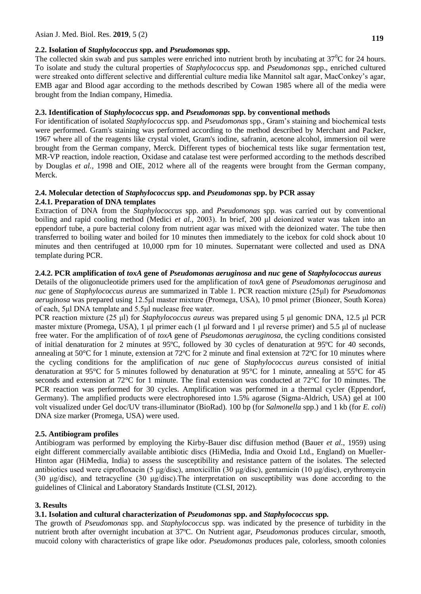#### **2.2. Isolation of** *Staphylococcus* **spp. and** *Pseudomonas* **spp.**

The collected skin swab and pus samples were enriched into nutrient broth by incubating at  $37^{\circ}$ C for 24 hours. To isolate and study the cultural properties of *Staphylococcus* spp. and *Pseudomonas* spp., enriched cultured were streaked onto different selective and differential culture media like Mannitol salt agar, MacConkey's agar, EMB agar and Blood agar according to the methods described by Cowan 1985 where all of the media were brought from the Indian company, Himedia.

## **2.3. Identification of** *Staphylococcus* **spp. and** *Pseudomonas* **spp. by conventional methods**

For identification of isolated *Staphylococcus* spp. and *Pseudomonas* spp., Gram's staining and biochemical tests were performed. Gram's staining was performed according to the method described by Merchant and Packer, 1967 where all of the reagents like crystal violet, Gram's iodine, safranin, acetone alcohol, immersion oil were brought from the German company, Merck. Different types of biochemical tests like sugar fermentation test, MR-VP reaction, indole reaction, Oxidase and catalase test were performed according to the methods described by Douglas *et al.,* 1998 and OIE, 2012 where all of the reagents were brought from the German company, Merck.

## **2.4. Molecular detection of** *Staphylococcus* **spp. and** *Pseudomonas* **spp. by PCR assay 2.4.1. Preparation of DNA templates**

Extraction of DNA from the *Staphylococcus* spp. and *Pseudomonas* spp. was carried out by conventional boiling and rapid cooling method (Medici *et al.,* 2003). In brief, 200 μl deionized water was taken into an eppendorf tube, a pure bacterial colony from nutrient agar was mixed with the deionized water. The tube then transferred to boiling water and boiled for 10 minutes then immediately to the icebox for cold shock about 10 minutes and then centrifuged at 10,000 rpm for 10 minutes. Supernatant were collected and used as DNA template during PCR.

# **2.4.2. PCR amplification of** *toxA* **gene of** *Pseudomonas aeruginosa* **and** *nuc* **gene of** *Staphylococcus aureus*

Details of the oligonucleotide primers used for the amplification of *toxA* gene of *Pseudomonas aeruginosa* and *nuc* gene of *Staphylococcus aureus* are summarized in Table 1. PCR reaction mixture (25μl) for *Pseudomonas aeruginosa* was prepared using 12.5μl master mixture (Promega, USA), 10 pmol primer (Bioneer, South Korea) of each, 5μl DNA template and 5.5μl nuclease free water.

PCR reaction mixture (25 μl) for *Staphylococcus aureus* was prepared using 5 μl genomic DNA, 12.5 μl PCR master mixture (Promega, USA), 1 μl primer each (1 μl forward and 1 μl reverse primer) and 5.5 μl of nuclease free water. For the amplification of of *toxA* gene of *Pseudomonas aeruginosa*, the cycling conditions consisted of initial denaturation for 2 minutes at 95ºC, followed by 30 cycles of denaturation at 95ºC for 40 seconds, annealing at 50°C for 1 minute, extension at 72ºC for 2 minute and final extension at 72ºC for 10 minutes where the cycling conditions for the amplification of *nuc* gene of *Staphylococcus aureus* consisted of initial denaturation at 95°C for 5 minutes followed by denaturation at 95°C for 1 minute, annealing at 55°C for 45 seconds and extension at 72°C for 1 minute. The final extension was conducted at 72°C for 10 minutes. The PCR reaction was performed for 30 cycles. Amplification was performed in a thermal cycler (Eppendorf, Germany). The amplified products were electrophoresed into 1.5% agarose (Sigma-Aldrich, USA) gel at 100 volt visualized under Gel doc/UV trans-illuminator (BioRad). 100 bp (for *Salmonella* spp.) and 1 kb (for *E. coli*) DNA size marker (Promega, USA) were used.

# **2.5. Antibiogram profiles**

Antibiogram was performed by employing the Kirby-Bauer disc diffusion method (Bauer *et al.,* 1959) using eight different commercially available antibiotic discs (HiMedia, India and Oxoid Ltd., England) on Mueller-Hinton agar (HiMedia, India) to assess the susceptibility and resistance pattern of the isolates. The selected antibiotics used were ciprofloxacin (5 μg/disc), amoxicillin (30 μg/disc), gentamicin (10 μg/disc), erythromycin (30 μg/disc), and tetracycline (30 μg/disc).The interpretation on susceptibility was done according to the guidelines of Clinical and Laboratory Standards Institute (CLSI, 2012).

## **3. Results**

# **3.1. Isolation and cultural characterization of** *Pseudomonas* **spp. and** *Staphylococcus* **spp***.*

The growth of *Pseudomonas* spp. and *Staphylococcus* spp. was indicated by the presence of turbidity in the nutrient broth after overnight incubation at 37ºC. On Nutrient agar, *Pseudomonas* produces circular, smooth, mucoid colony with characteristics of grape like odor. *Pseudomonas* produces pale, colorless, smooth colonies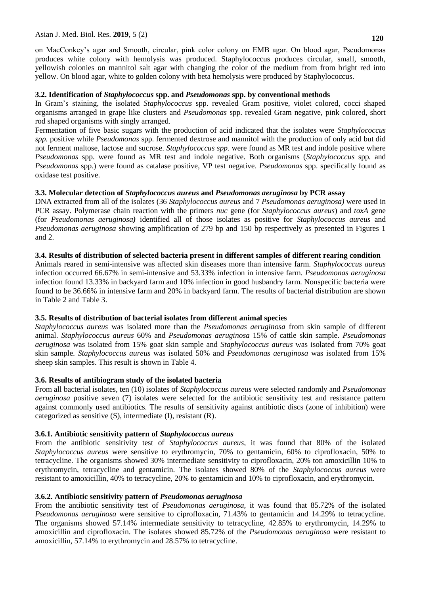on MacConkey's agar and Smooth, circular, pink color colony on EMB agar. On blood agar, Pseudomonas produces white colony with hemolysis was produced. Staphylococcus produces circular, small, smooth, yellowish colonies on mannitol salt agar with changing the color of the medium from from bright red into yellow. On blood agar, white to golden colony with beta hemolysis were produced by Staphylococcus.

#### **3.2. Identification of** *Staphylococcus* **spp. and** *Pseudomonas* **spp. by conventional methods**

In Gram's staining, the isolated *Staphylococcus* spp. revealed Gram positive, violet colored, cocci shaped organisms arranged in grape like clusters and *Pseudomonas* spp. revealed Gram negative, pink colored, short rod shaped organisms with singly arranged.

Fermentation of five basic sugars with the production of acid indicated that the isolates were *Staphylococcus spp.* positive while *Pseudomonas* spp. fermented dextrose and mannitol with the production of only acid but did not ferment maltose, lactose and sucrose. *Staphylococcus spp.* were found as MR test and indole positive where *Pseudomonas* spp. were found as MR test and indole negative. Both organisms (*Staphylococcus* spp*.* and *Pseudomonas* spp.) were found as catalase positive, VP test negative. *Pseudomonas* spp. specifically found as oxidase test positive.

# **3.3. Molecular detection of** *Staphylococcus aureus* **and** *Pseudomonas aeruginosa* **by PCR assay**

DNA extracted from all of the isolates (36 *Staphylococcus aureus* and 7 *Pseudomonas aeruginosa)* were used in PCR assay. Polymerase chain reaction with the primers *nuc* gene (for *Staphylococcus aureus*) and *toxA* gene (for *Pseudomonas aeruginosa)* identified all of those isolates as positive for *Staphylococcus aureus* and *Pseudomonas aeruginosa* showing amplification of 279 bp and 150 bp respectively as presented in Figures 1 and 2.

#### **3.4. Results of distribution of selected bacteria present in different samples of different rearing condition**

Animals reared in semi-intensive was affected skin diseases more than intensive farm. *Staphylococcus aureus*  infection occurred 66.67% in semi-intensive and 53.33% infection in intensive farm. *Pseudomonas aeruginosa*  infection found 13.33% in backyard farm and 10% infection in good husbandry farm. Nonspecific bacteria were found to be 36.66% in intensive farm and 20% in backyard farm. The results of bacterial distribution are shown in Table 2 and Table 3.

## **3.5. Results of distribution of bacterial isolates from different animal species**

*Staphylococcus aureus* was isolated more than the *Pseudomonas aeruginosa* from skin sample of different animal. *Staphylococcus aureus* 60% and *Pseudomonas aeruginosa* 15% of cattle skin sample. *Pseudomonas aeruginosa* was isolated from 15% goat skin sample and *Staphylococcus aureus* was isolated from 70% goat skin sample. *Staphylococcus aureus* was isolated 50% and *Pseudomonas aeruginosa* was isolated from 15% sheep skin samples. This result is shown in Table 4.

## **3.6. Results of antibiogram study of the isolated bacteria**

From all bacterial isolates, ten (10) isolates of *Staphylococcus aureus* were selected randomly and *Pseudomonas aeruginosa* positive seven (7) isolates were selected for the antibiotic sensitivity test and resistance pattern against commonly used antibiotics. The results of sensitivity against antibiotic discs (zone of inhibition) were categorized as sensitive (S), intermediate (I), resistant (R).

## **3.6.1. Antibiotic sensitivity pattern of** *Staphylococcus aureus*

From the antibiotic sensitivity test of *Staphylococcus aureus*, it was found that 80% of the isolated *Staphylococcus aureus* were sensitive to erythromycin, 70% to gentamicin, 60% to ciprofloxacin, 50% to tetracycline. The organisms showed 30% intermediate sensitivity to ciprofloxacin, 20% ton amoxicillin 10% to erythromycin, tetracycline and gentamicin. The isolates showed 80% of the *Staphylococcus aureus* were resistant to amoxicillin, 40% to tetracycline, 20% to gentamicin and 10% to ciprofloxacin, and erythromycin.

## **3.6.2. Antibiotic sensitivity pattern of** *Pseudomonas aeruginosa*

From the antibiotic sensitivity test of *Pseudomonas aeruginosa,* it was found that 85.72% of the isolated *Pseudomonas aeruginosa* were sensitive to ciprofloxacin, 71.43% to gentamicin and 14.29% to tetracycline. The organisms showed 57.14% intermediate sensitivity to tetracycline, 42.85% to erythromycin, 14.29% to amoxicillin and ciprofloxacin. The isolates showed 85.72% of the *Pseudomonas aeruginosa* were resistant to amoxicillin, 57.14% to erythromycin and 28.57% to tetracycline.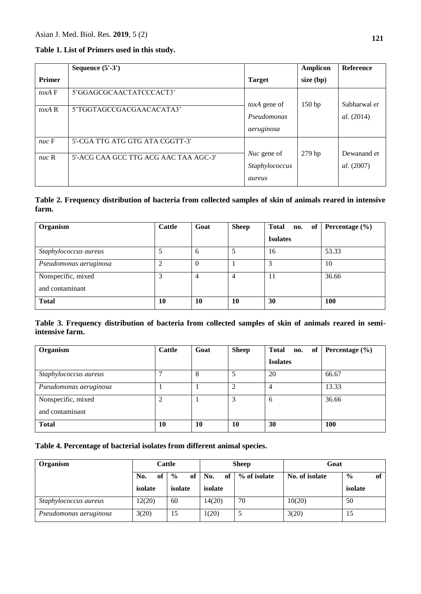## **Table 1. List of Primers used in this study.**

|                           | Sequence $(5'-3')$                    |                                                | <b>Amplicon</b> | <b>Reference</b>           |
|---------------------------|---------------------------------------|------------------------------------------------|-----------------|----------------------------|
| <b>Primer</b>             |                                       | <b>Target</b>                                  | $size$ (bp)     |                            |
| $\text{to}$ xA $\text{F}$ | 5'GGAGCGCAACTATCCCACT3'               |                                                |                 |                            |
| $toxA$ R                  | 5'TGGTAGCCGACGAACACATA3'              | toxA gene of<br>Pseudomonas<br>aeruginosa      | 150bp           | Sabharwal et<br>al. (2014) |
| $nuc \, F$                | 5'-CGA TTG ATG GTG ATA CGGTT-3'       |                                                |                 |                            |
| $nuc \, R$                | 5'-ACG CAA GCC TTG ACG AAC TAA AGC-3' | <i>Nuc</i> gene of<br>Staphylococcus<br>aureus | 279bp           | Dewanand et<br>al. (2007)  |

# **Table 2. Frequency distribution of bacteria from collected samples of skin of animals reared in intensive farm.**

| Organism               | <b>Cattle</b> | Goat     | <b>Sheep</b>   | <b>Total</b><br>no. of | Percentage $(\% )$ |
|------------------------|---------------|----------|----------------|------------------------|--------------------|
|                        |               |          |                | <b>Isolates</b>        |                    |
| Staphylococcus aureus  |               | 6        |                | 16                     | 53.33              |
| Pseudomonas aeruginosa |               | $\theta$ |                | 3                      | 10                 |
| Nonspecific, mixed     | 3             | 4        | $\overline{4}$ | 11                     | 36.66              |
| and contaminant        |               |          |                |                        |                    |
| <b>Total</b>           | 10            | 10       | 10             | 30                     | <b>100</b>         |

# **Table 3. Frequency distribution of bacteria from collected samples of skin of animals reared in semiintensive farm.**

| Organism               | <b>Cattle</b> | Goat | <b>Sheep</b> | <b>Total</b><br>no. of | Percentage $(\% )$ |
|------------------------|---------------|------|--------------|------------------------|--------------------|
|                        |               |      |              | <b>Isolates</b>        |                    |
| Staphylococcus aureus  | ⇁             | 8    | 5            | 20                     | 66.67              |
| Pseudomonas aeruginosa |               |      | 2            | $\overline{4}$         | 13.33              |
| Nonspecific, mixed     | ↑             |      | 3            | 6                      | 36.66              |
| and contaminant        |               |      |              |                        |                    |
| <b>Total</b>           | 10            | 10   | 10           | 30                     | <b>100</b>         |

# **Table 4. Percentage of bacterial isolates from different animal species.**

| Organism               | Cattle    |                     | Sheep     |              | Goat           |                     |
|------------------------|-----------|---------------------|-----------|--------------|----------------|---------------------|
|                        | No.<br>of | $\frac{0}{0}$<br>of | No.<br>of | % of isolate | No. of isolate | $\frac{6}{9}$<br>of |
|                        | isolate   | isolate             | isolate   |              |                | isolate             |
| Staphylococcus aureus  | 12(20)    | 60                  | 14(20)    | 70           | 10(20)         | 50                  |
| Pseudomonas aeruginosa | 3(20)     | 15                  | 1(20)     |              | 3(20)          | 15                  |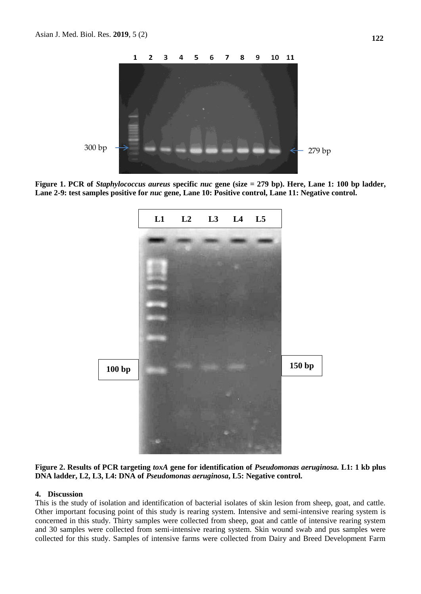

**Figure 1. PCR of** *Staphylococcus aureus* **specific** *nuc* **gene (size = 279 bp). Here, Lane 1: 100 bp ladder, Lane 2-9: test samples positive for** *nuc* **gene, Lane 10: Positive control, Lane 11: Negative control.**



**Figure 2. Results of PCR targeting** *toxA* **gene for identification of** *Pseudomonas aeruginosa.* **L1: 1 kb plus DNA ladder, L2, L3, L4: DNA of** *Pseudomonas aeruginosa***, L5: Negative control.**

#### **4. Discussion**

This is the study of isolation and identification of bacterial isolates of skin lesion from sheep, goat, and cattle. Other important focusing point of this study is rearing system. Intensive and semi-intensive rearing system is concerned in this study. Thirty samples were collected from sheep, goat and cattle of intensive rearing system and 30 samples were collected from semi-intensive rearing system. Skin wound swab and pus samples were collected for this study. Samples of intensive farms were collected from Dairy and Breed Development Farm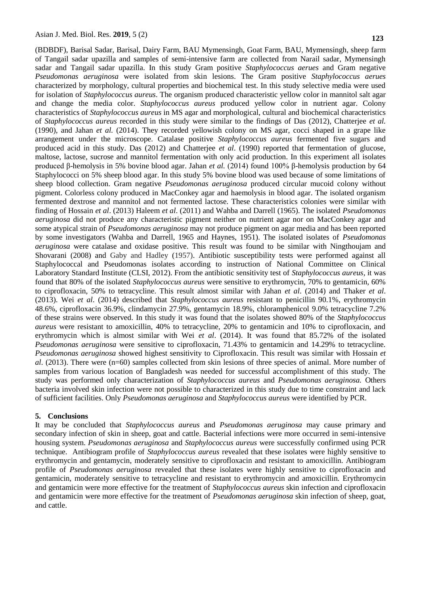(BDBDF), Barisal Sadar, Barisal, Dairy Farm, BAU Mymensingh, Goat Farm, BAU, Mymensingh, sheep farm of Tangail sadar upazilla and samples of semi-intensive farm are collected from Narail sadar, Mymensingh sadar and Tangail sadar upazilla. In this study Gram positive *Staphylococcus aerues* and Gram negative *Pseudomonas aeruginosa* were isolated from skin lesions. The Gram positive *Staphylococcus aerues* characterized by morphology, cultural properties and biochemical test. In this study selective media were used for isolation of *Staphylococcus aureus*. The organism produced characteristic yellow color in mannitol salt agar and change the media color. *Staphylococcus aureus* produced yellow color in nutrient agar. Colony characteristics of *Staphylococcus aureus* in MS agar and morphological, cultural and biochemical characteristics of *Staphylococcus aureus* recorded in this study were similar to the findings of Das (2012), Chatterjee *et al.*  (1990), and Jahan *et al.* (2014). They recorded yellowish colony on MS agar, cocci shaped in a grape like arrangement under the microscope. Catalase positive *Staphylococcus aureus* fermented five sugars and produced acid in this study. Das (2012) and Chatterjee *et al*. (1990) reported that fermentation of glucose, maltose, lactose, sucrose and mannitol fermentation with only acid production. In this experiment all isolates produced β-hemolysis in 5% bovine blood agar. Jahan *et al.* (2014) found 100% β-hemolysis production by 64 Staphylococci on 5% sheep blood agar. In this study 5% bovine blood was used because of some limitations of sheep blood collection. Gram negative *Pseudomonas aeruginosa* produced circular mucoid colony without pigment. Colorless colony produced in MacConkey agar and haemolysis in blood agar. The isolated organism fermented dextrose and mannitol and not fermented lactose. These characteristics colonies were similar with finding of Hossain *et al*. (2013) Haleem *et al*. (2011) and Wahba and Darrell (1965). The isolated *Pseudomonas aeruginosa* did not produce any characteristic pigment neither on nutrient agar nor on MacConkey agar and some atypical strain of *Pseudomonas aeruginosa* may not produce pigment on agar media and has been reported by some investigators (Wahba and Darrell, 1965 and Haynes, 1951). The isolated isolates of *Pseudomonas aeruginosa* were catalase and oxidase positive. This result was found to be similar with Ningthoujam and Shovarani (2008) and Gaby and Hadley (1957). Antibiotic susceptibility tests were performed against all Staphylococcal and Pseudomonas isolates according to instruction of National Committee on Clinical Laboratory Standard Institute (CLSI, 2012). From the antibiotic sensitivity test of *Staphylococcus aureus*, it was found that 80% of the isolated *Staphylococcus aureus* were sensitive to erythromycin, 70% to gentamicin, 60% to ciprofloxacin, 50% to tetracycline. This result almost similar with Jahan *et al*. (2014) and Thaker *et al*. (2013). Wei *et al*. (2014) described that *Staphylococcus aureus* resistant to penicillin 90.1%, erythromycin 48.6%, ciprofloxacin 36.9%, clindamycin 27.9%, gentamycin 18.9%, chloramphenicol 9.0% tetracycline 7.2% of these strains were observed. In this study it was found that the isolates showed 80% of the *Staphylococcus aureus* were resistant to amoxicillin, 40% to tetracycline, 20% to gentamicin and 10% to ciprofloxacin, and erythromycin which is almost similar with Wei *et al*. (2014). It was found that 85.72% of the isolated *Pseudomonas aeruginosa* were sensitive to ciprofloxacin, 71.43% to gentamicin and 14.29% to tetracycline. *Pseudomonas aeruginosa* showed highest sensitivity to Ciprofloxacin. This result was similar with Hossain *et al*. (2013). There were (n=60) samples collected from skin lesions of three species of animal. More number of samples from various location of Bangladesh was needed for successful accomplishment of this study. The study was performed only characterization of *Staphylococcus aureus* and *Pseudomonas aeruginosa.* Others bacteria involved skin infection were not possible to characterized in this study due to time constraint and lack of sufficient facilities. Only *Pseudomonas aeruginosa* and *Staphylococcus aureus* were identified by PCR.

#### **5. Conclusions**

It may be concluded that *Staphylococcus aureus* and *Pseudomonas aeruginosa* may cause primary and secondary infection of skin in sheep, goat and cattle. Bacterial infections were more occurred in semi-intensive housing system. *Pseudomonas aeruginosa* and *Staphylococcus aureus* were successfully confirmed using PCR technique. Antibiogram profile of *Staphylococcus aureus* revealed that these isolates were highly sensitive to erythromycin and gentamycin, moderately sensitive to ciprofloxacin and resistant to amoxicillin. Antibiogram profile of *Pseudomonas aeruginosa* revealed that these isolates were highly sensitive to ciprofloxacin and gentamicin, moderately sensitive to tetracycline and resistant to erythromycin and amoxicillin. Erythromycin and gentamicin were more effective for the treatment of *Staphylococcus aureus* skin infection and ciprofloxacin and gentamicin were more effective for the treatment of *Pseudomonas aeruginosa* skin infection of sheep, goat, and cattle.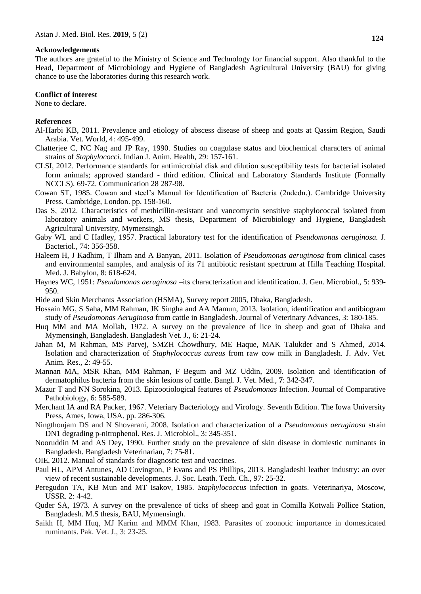#### **Acknowledgements**

The authors are grateful to the Ministry of Science and Technology for financial support. Also thankful to the Head, Department of Microbiology and Hygiene of Bangladesh Agricultural University (BAU) for giving chance to use the laboratories during this research work.

#### **Conflict of interest**

None to declare.

#### **References**

- Al-Harbi KB, 2011. Prevalence and etiology of abscess disease of sheep and goats at Qassim Region, Saudi Arabia. Vet. World, 4: 495-499.
- Chatterjee C, NC Nag and JP Ray, 1990. Studies on coagulase status and biochemical characters of animal strains of *Staphylococci.* Indian J. Anim. Health, 29: 157-161.
- CLSI, 2012. Performance standards for antimicrobial disk and dilution susceptibility tests for bacterial isolated form animals; approved standard - third edition. Clinical and Laboratory Standards Institute (Formally NCCLS). 69-72. Communication 28 287-98.
- Cowan ST, 1985. Cowan and steel's Manual for Identification of Bacteria (2ndedn.). Cambridge University Press. Cambridge, London. pp. 158-160.
- Das S, 2012. Characteristics of methicillin-resistant and vancomycin sensitive staphylococcal isolated from laboratory animals and workers, MS thesis, Department of Microbiology and Hygiene, Bangladesh Agricultural University, Mymensingh.
- Gaby WL and C Hadley, 1957. Practical laboratory test for the identification of *Pseudomonas aeruginosa.* J. Bacteriol., 74: 356-358.
- Haleem H, J Kadhim, T Ilham and A Banyan, 2011. Isolation of *Pseudomonas aeruginosa* from clinical cases and environmental samples, and analysis of its 71 antibiotic resistant spectrum at Hilla Teaching Hospital. Med. J. Babylon, 8: 618-624.
- Haynes WC, 1951: *Pseudomonas aeruginosa* –its characterization and identification*.* J. Gen. Microbiol., 5: 939- 950.
- Hide and Skin Merchants Association (HSMA), Survey report 2005, Dhaka, Bangladesh.
- Hossain MG, S Saha, MM Rahman, JK Singha and AA Mamun, 2013. Isolation, identification and antibiogram study of *Pseudomonas Aeruginosa* from cattle in Bangladesh. Journal of Veterinary Advances, 3: 180-185.
- Huq MM and MA Mollah, 1972. A survey on the prevalence of lice in sheep and goat of Dhaka and Mymensingh, Bangladesh. Bangladesh Vet. J., 6: 21-24.
- Jahan M, M Rahman, MS Parvej, SMZH Chowdhury, ME Haque, MAK Talukder and S Ahmed, 2014. Isolation and characterization of *Staphylococcus aureus* from raw cow milk in Bangladesh. J. Adv. Vet. Anim. Res., 2: 49-55.
- Mannan MA, MSR Khan, MM Rahman, F Begum and MZ Uddin, 2009. Isolation and identification of dermatophilus bacteria from the skin lesions of cattle. Bangl. J. Vet. Med., **7**: 342-347.
- Mazur T and NN Sorokina, 2013. Epizootiological features of *Pseudomonas* Infection. Journal of Comparative Pathobiology, 6: 585-589.
- Merchant IA and RA Packer, 1967. Veteriary Bacteriology and Virology. Seventh Edition. The Iowa University Press, Ames, Iowa, USA. pp. 286-306.
- Ningthoujam DS and N Shovarani, 2008. Isolation and characterization of a *Pseudomonas aeruginosa* strain DN1 degrading p-nitrophenol. Res. J. Microbiol., 3: 345-351.
- Nooruddin M and AS Dey, 1990. Further study on the prevalence of skin disease in domiestic ruminants in Bangladesh. Bangladesh Veterinarian, 7: 75-81.
- OIE, 2012. Manual of standards for diagnostic test and vaccines.
- Paul HL, APM Antunes, AD Covington, P Evans and PS Phillips, 2013. Bangladeshi leather industry: an over view of recent sustainable developments. J. Soc. Leath. Tech. Ch., 97: 25-32.
- Peregudon TA, KB Mun and MT Isakov, 1985. *Staphylococcus* infection in goats. Veterinariya, Moscow*,*  USSR. 2: 4-42.
- Quder SA, 1973. A survey on the prevalence of ticks of sheep and goat in Comilla Kotwali Pollice Station, Bangladesh. M.S thesis, BAU, Mymensingh.
- Saikh H, MM Huq, MJ Karim and MMM Khan, 1983. Parasites of zoonotic importance in domesticated ruminants. Pak. Vet. J., 3: 23-25.